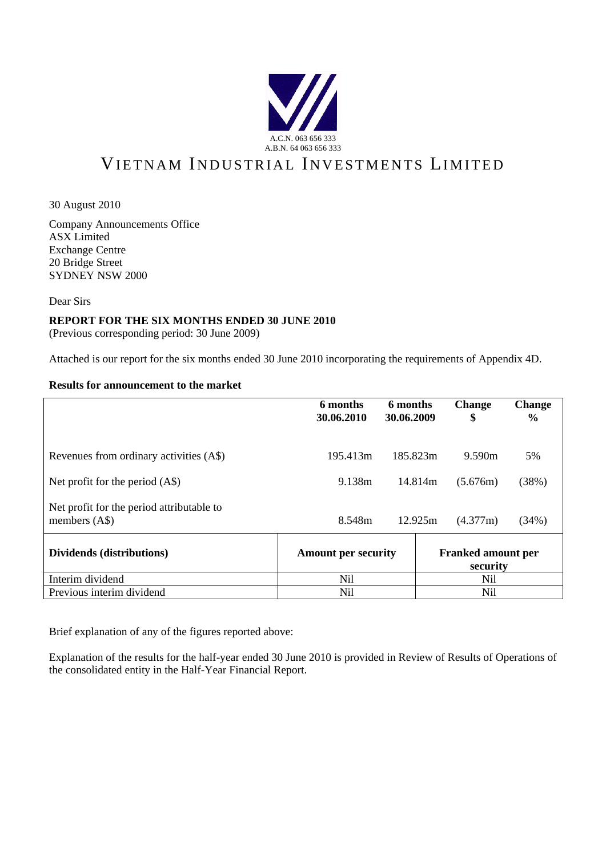

# VIETNAM INDUSTRIAL INVESTMENTS LIMITED

30 August 2010

Company Announcements Office ASX Limited Exchange Centre 20 Bridge Street SYDNEY NSW 2000

Dear Sirs

#### **REPORT FOR THE SIX MONTHS ENDED 30 JUNE 2010**

(Previous corresponding period: 30 June 2009)

Attached is our report for the six months ended 30 June 2010 incorporating the requirements of Appendix 4D.

#### **Results for announcement to the market**

|                                                             | 6 months<br>30.06.2010     | 6 months<br>30.06.2009 | <b>Change</b><br>\$                   | <b>Change</b><br>$\frac{0}{0}$ |
|-------------------------------------------------------------|----------------------------|------------------------|---------------------------------------|--------------------------------|
| Revenues from ordinary activities (A\$)                     | 195.413m                   | 185.823m               | 9.590m                                | 5%                             |
| Net profit for the period $(AS)$                            | 9.138m                     | 14.814m                | (5.676m)                              | (38%)                          |
| Net profit for the period attributable to<br>members $(AS)$ | 8.548m                     | 12.925m                | (4.377m)                              | (34%)                          |
| Dividends (distributions)                                   | <b>Amount per security</b> |                        | <b>Franked amount per</b><br>security |                                |
| Interim dividend                                            | Nil                        |                        | Nil                                   |                                |
| Previous interim dividend                                   | Nil                        |                        | Nil                                   |                                |

Brief explanation of any of the figures reported above:

Explanation of the results for the half-year ended 30 June 2010 is provided in Review of Results of Operations of the consolidated entity in the Half-Year Financial Report.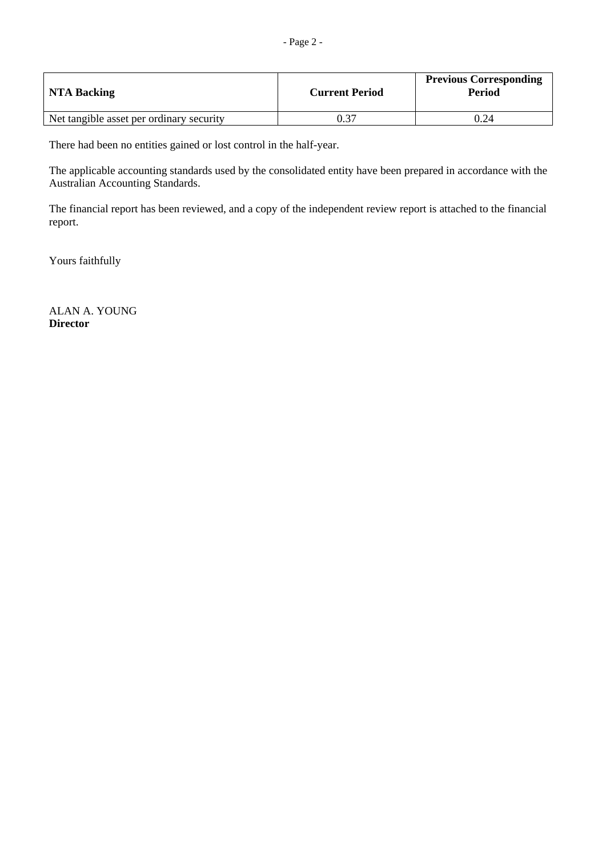| NTA Backing                              | <b>Current Period</b> | <b>Previous Corresponding</b><br>Period |
|------------------------------------------|-----------------------|-----------------------------------------|
| Net tangible asset per ordinary security | 0.37                  | 0.24                                    |

There had been no entities gained or lost control in the half-year.

The applicable accounting standards used by the consolidated entity have been prepared in accordance with the Australian Accounting Standards.

The financial report has been reviewed, and a copy of the independent review report is attached to the financial report.

Yours faithfully

ALAN A. YOUNG **Director**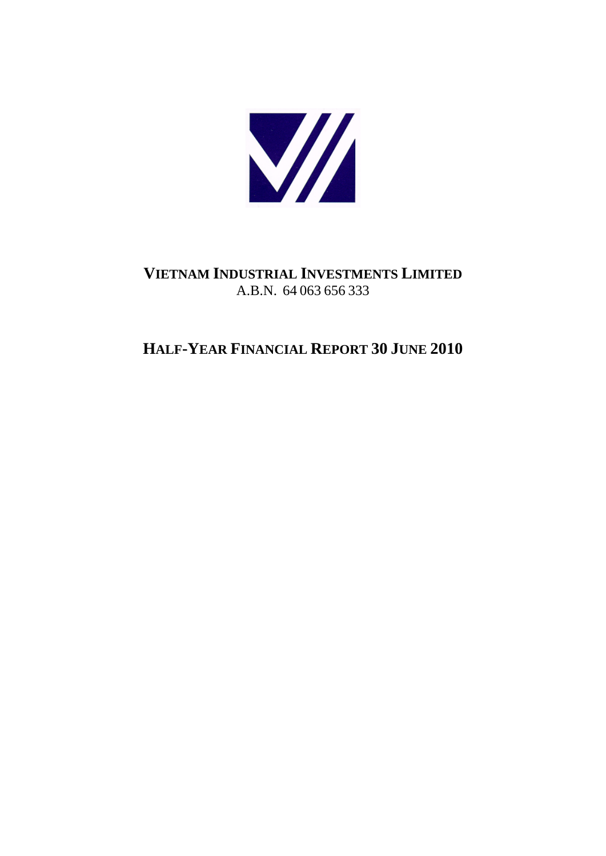

## **VIETNAM INDUSTRIAL INVESTMENTS LIMITED** A.B.N. 64 063 656 333

## **HALF-YEAR FINANCIAL REPORT 30 JUNE 2010**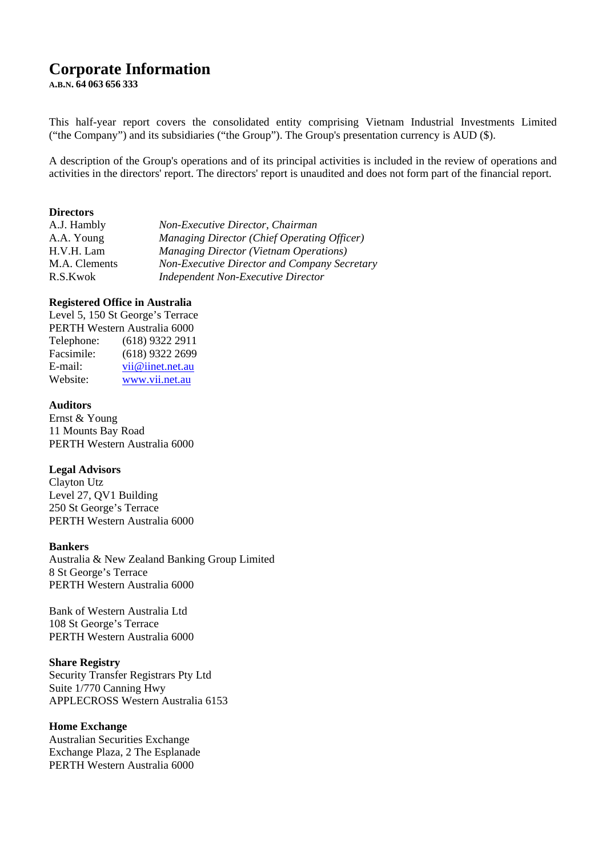## **Corporate Information**

**A.B.N. 64 063 656 333** 

This half-year report covers the consolidated entity comprising Vietnam Industrial Investments Limited ("the Company") and its subsidiaries ("the Group"). The Group's presentation currency is AUD (\$).

A description of the Group's operations and of its principal activities is included in the review of operations and activities in the directors' report. The directors' report is unaudited and does not form part of the financial report.

#### **Directors**

| A.J. Hambly   | Non-Executive Director, Chairman                    |
|---------------|-----------------------------------------------------|
| A.A. Young    | <b>Managing Director (Chief Operating Officer)</b>  |
| H.V.H. Lam    | <b>Managing Director (Vietnam Operations)</b>       |
| M.A. Clements | <b>Non-Executive Director and Company Secretary</b> |
| R.S.Kwok      | <b>Independent Non-Executive Director</b>           |
|               |                                                     |

#### **Registered Office in Australia**

Level 5, 150 St George's Terrace PERTH Western Australia 6000 Telephone: (618) 9322 2911 Facsimile: (618) 9322 2699 E-mail: vii@iinet.net.au Website: www.vii.net.au

#### **Auditors**

Ernst & Young 11 Mounts Bay Road PERTH Western Australia 6000

#### **Legal Advisors**

Clayton Utz Level 27, QV1 Building 250 St George's Terrace PERTH Western Australia 6000

#### **Bankers**

Australia & New Zealand Banking Group Limited 8 St George's Terrace PERTH Western Australia 6000

Bank of Western Australia Ltd 108 St George's Terrace PERTH Western Australia 6000

#### **Share Registry**

Security Transfer Registrars Pty Ltd Suite 1/770 Canning Hwy APPLECROSS Western Australia 6153

#### **Home Exchange**

Australian Securities Exchange Exchange Plaza, 2 The Esplanade PERTH Western Australia 6000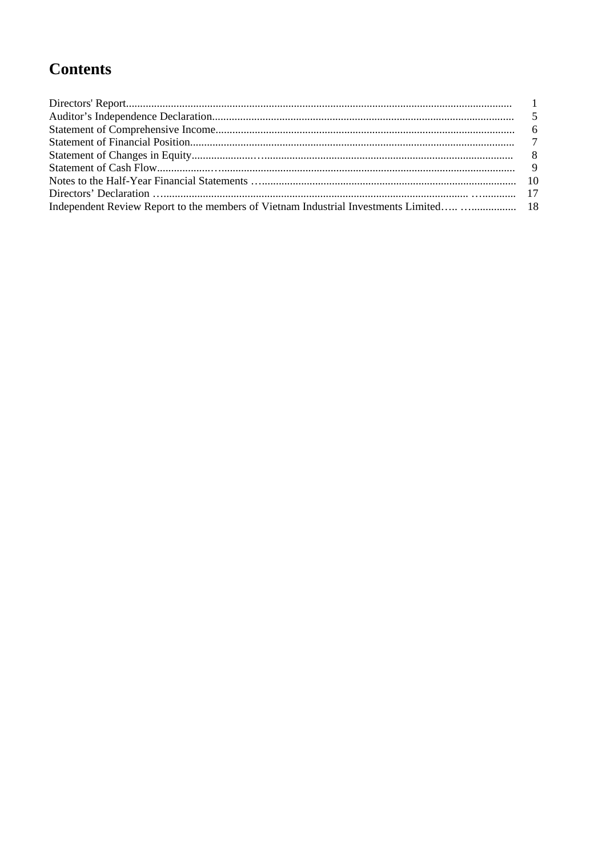# **Contents**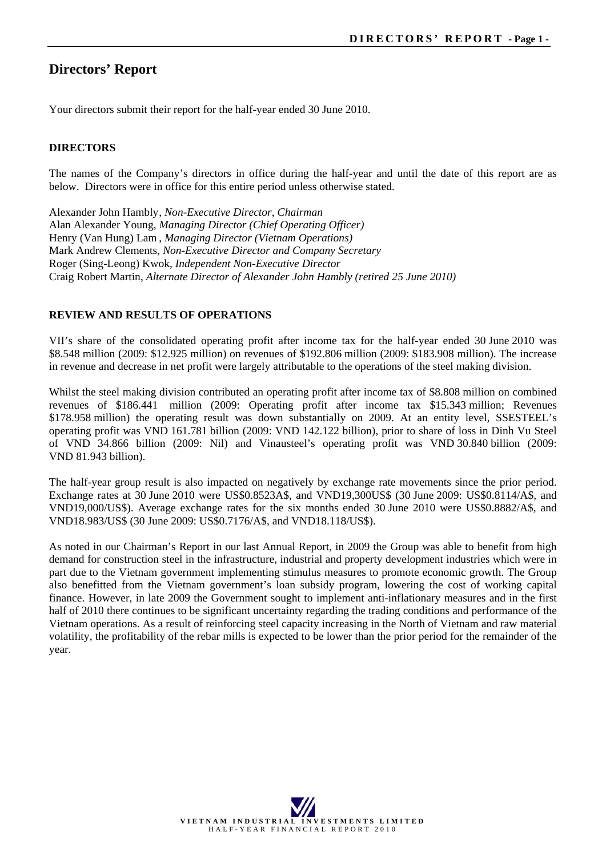## **Directors' Report**

Your directors submit their report for the half-year ended 30 June 2010.

#### **DIRECTORS**

The names of the Company's directors in office during the half-year and until the date of this report are as below. Directors were in office for this entire period unless otherwise stated.

Alexander John Hambly , *Non-Executive Director*, *Chairman*  Alan Alexander Young, *Managing Director (Chief Operating Officer)*  Henry (Van Hung) Lam , *Managing Director (Vietnam Operations)*  Mark Andrew Clements, *Non-Executive Director and Company Secretary* Roger (Sing-Leong) Kwok, *Independent Non-Executive Director*  Craig Robert Martin, *Alternate Director of Alexander John Hambly (retired 25 June 2010)*

#### **REVIEW AND RESULTS OF OPERATIONS**

VII's share of the consolidated operating profit after income tax for the half-year ended 30 June 2010 was \$8.548 million (2009: \$12.925 million) on revenues of \$192.806 million (2009: \$183.908 million). The increase in revenue and decrease in net profit were largely attributable to the operations of the steel making division.

Whilst the steel making division contributed an operating profit after income tax of \$8.808 million on combined revenues of \$186.441 million (2009: Operating profit after income tax \$15.343 million; Revenues \$178.958 million) the operating result was down substantially on 2009. At an entity level, SSESTEEL's operating profit was VND 161.781 billion (2009: VND 142.122 billion), prior to share of loss in Dinh Vu Steel of VND 34.866 billion (2009: Nil) and Vinausteel's operating profit was VND 30.840 billion (2009: VND 81.943 billion).

The half-year group result is also impacted on negatively by exchange rate movements since the prior period. Exchange rates at 30 June 2010 were US\$0.8523A\$, and VND19,300US\$ (30 June 2009: US\$0.8114/A\$, and VND19,000/US\$). Average exchange rates for the six months ended 30 June 2010 were US\$0.8882/A\$, and VND18.983/US\$ (30 June 2009: US\$0.7176/A\$, and VND18.118/US\$).

As noted in our Chairman's Report in our last Annual Report, in 2009 the Group was able to benefit from high demand for construction steel in the infrastructure, industrial and property development industries which were in part due to the Vietnam government implementing stimulus measures to promote economic growth. The Group also benefitted from the Vietnam government's loan subsidy program, lowering the cost of working capital finance. However, in late 2009 the Government sought to implement anti-inflationary measures and in the first half of 2010 there continues to be significant uncertainty regarding the trading conditions and performance of the Vietnam operations. As a result of reinforcing steel capacity increasing in the North of Vietnam and raw material volatility, the profitability of the rebar mills is expected to be lower than the prior period for the remainder of the year.

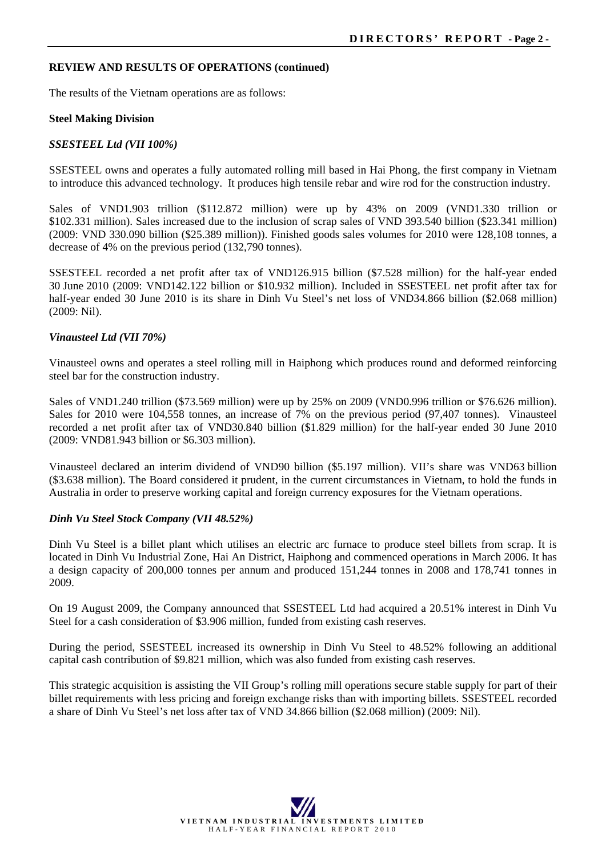#### **REVIEW AND RESULTS OF OPERATIONS (continued)**

The results of the Vietnam operations are as follows:

#### **Steel Making Division**

#### *SSESTEEL Ltd (VII 100%)*

SSESTEEL owns and operates a fully automated rolling mill based in Hai Phong, the first company in Vietnam to introduce this advanced technology. It produces high tensile rebar and wire rod for the construction industry.

Sales of VND1.903 trillion (\$112.872 million) were up by 43% on 2009 (VND1.330 trillion or \$102.331 million). Sales increased due to the inclusion of scrap sales of VND 393.540 billion (\$23.341 million) (2009: VND 330.090 billion (\$25.389 million)). Finished goods sales volumes for 2010 were 128,108 tonnes, a decrease of 4% on the previous period (132,790 tonnes).

SSESTEEL recorded a net profit after tax of VND126.915 billion (\$7.528 million) for the half-year ended 30 June 2010 (2009: VND142.122 billion or \$10.932 million). Included in SSESTEEL net profit after tax for half-year ended 30 June 2010 is its share in Dinh Vu Steel's net loss of VND34.866 billion (\$2.068 million) (2009: Nil).

#### *Vinausteel Ltd (VII 70%)*

Vinausteel owns and operates a steel rolling mill in Haiphong which produces round and deformed reinforcing steel bar for the construction industry.

Sales of VND1.240 trillion (\$73.569 million) were up by 25% on 2009 (VND0.996 trillion or \$76.626 million). Sales for 2010 were 104,558 tonnes, an increase of 7% on the previous period (97,407 tonnes).Vinausteel recorded a net profit after tax of VND30.840 billion (\$1.829 million) for the half-year ended 30 June 2010 (2009: VND81.943 billion or \$6.303 million).

Vinausteel declared an interim dividend of VND90 billion (\$5.197 million). VII's share was VND63 billion (\$3.638 million). The Board considered it prudent, in the current circumstances in Vietnam, to hold the funds in Australia in order to preserve working capital and foreign currency exposures for the Vietnam operations.

#### *Dinh Vu Steel Stock Company (VII 48.52%)*

Dinh Vu Steel is a billet plant which utilises an electric arc furnace to produce steel billets from scrap. It is located in Dinh Vu Industrial Zone, Hai An District, Haiphong and commenced operations in March 2006. It has a design capacity of 200,000 tonnes per annum and produced 151,244 tonnes in 2008 and 178,741 tonnes in 2009.

On 19 August 2009, the Company announced that SSESTEEL Ltd had acquired a 20.51% interest in Dinh Vu Steel for a cash consideration of \$3.906 million, funded from existing cash reserves.

During the period, SSESTEEL increased its ownership in Dinh Vu Steel to 48.52% following an additional capital cash contribution of \$9.821 million, which was also funded from existing cash reserves.

This strategic acquisition is assisting the VII Group's rolling mill operations secure stable supply for part of their billet requirements with less pricing and foreign exchange risks than with importing billets. SSESTEEL recorded a share of Dinh Vu Steel's net loss after tax of VND 34.866 billion (\$2.068 million) (2009: Nil).

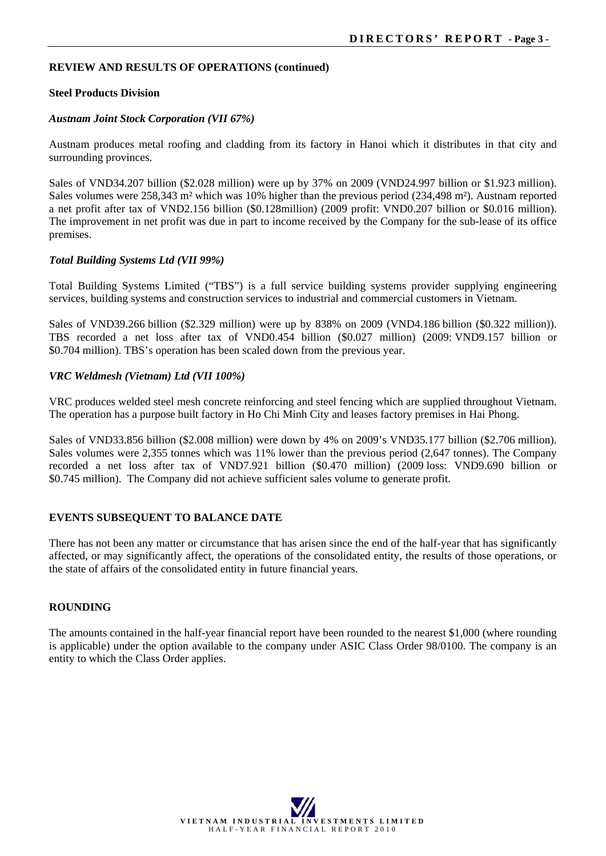#### **REVIEW AND RESULTS OF OPERATIONS (continued)**

#### **Steel Products Division**

#### *Austnam Joint Stock Corporation (VII 67%)*

Austnam produces metal roofing and cladding from its factory in Hanoi which it distributes in that city and surrounding provinces.

Sales of VND34.207 billion (\$2.028 million) were up by 37% on 2009 (VND24.997 billion or \$1.923 million). Sales volumes were 258,343 m² which was 10% higher than the previous period (234,498 m²). Austnam reported a net profit after tax of VND2.156 billion (\$0.128million) (2009 profit: VND0.207 billion or \$0.016 million). The improvement in net profit was due in part to income received by the Company for the sub-lease of its office premises.

#### *Total Building Systems Ltd (VII 99%)*

Total Building Systems Limited ("TBS") is a full service building systems provider supplying engineering services, building systems and construction services to industrial and commercial customers in Vietnam.

Sales of VND39.266 billion (\$2.329 million) were up by 838% on 2009 (VND4.186 billion (\$0.322 million)). TBS recorded a net loss after tax of VND0.454 billion (\$0.027 million) (2009: VND9.157 billion or \$0.704 million). TBS's operation has been scaled down from the previous year.

#### *VRC Weldmesh (Vietnam) Ltd (VII 100%)*

VRC produces welded steel mesh concrete reinforcing and steel fencing which are supplied throughout Vietnam. The operation has a purpose built factory in Ho Chi Minh City and leases factory premises in Hai Phong.

Sales of VND33.856 billion (\$2.008 million) were down by 4% on 2009's VND35.177 billion (\$2.706 million). Sales volumes were 2,355 tonnes which was 11% lower than the previous period (2,647 tonnes). The Company recorded a net loss after tax of VND7.921 billion (\$0.470 million) (2009 loss: VND9.690 billion or \$0.745 million). The Company did not achieve sufficient sales volume to generate profit.

#### **EVENTS SUBSEQUENT TO BALANCE DATE**

There has not been any matter or circumstance that has arisen since the end of the half-year that has significantly affected, or may significantly affect, the operations of the consolidated entity, the results of those operations, or the state of affairs of the consolidated entity in future financial years.

#### **ROUNDING**

The amounts contained in the half-year financial report have been rounded to the nearest \$1,000 (where rounding is applicable) under the option available to the company under ASIC Class Order 98/0100. The company is an entity to which the Class Order applies.

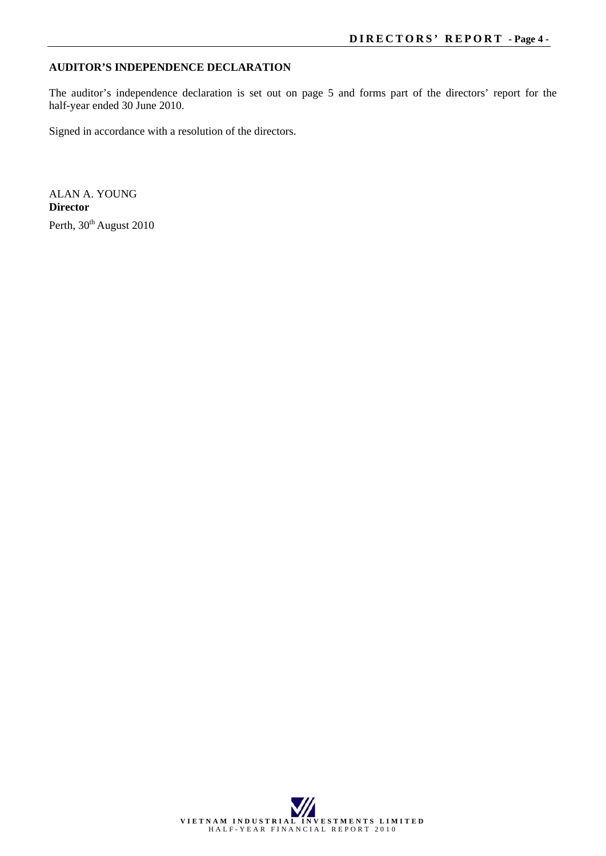#### **AUDITOR'S INDEPENDENCE DECLARATION**

The auditor's independence declaration is set out on page 5 and forms part of the directors' report for the half-year ended 30 June 2010.

Signed in accordance with a resolution of the directors.

ALAN A. YOUNG **Director**  Perth, 30<sup>th</sup> August 2010

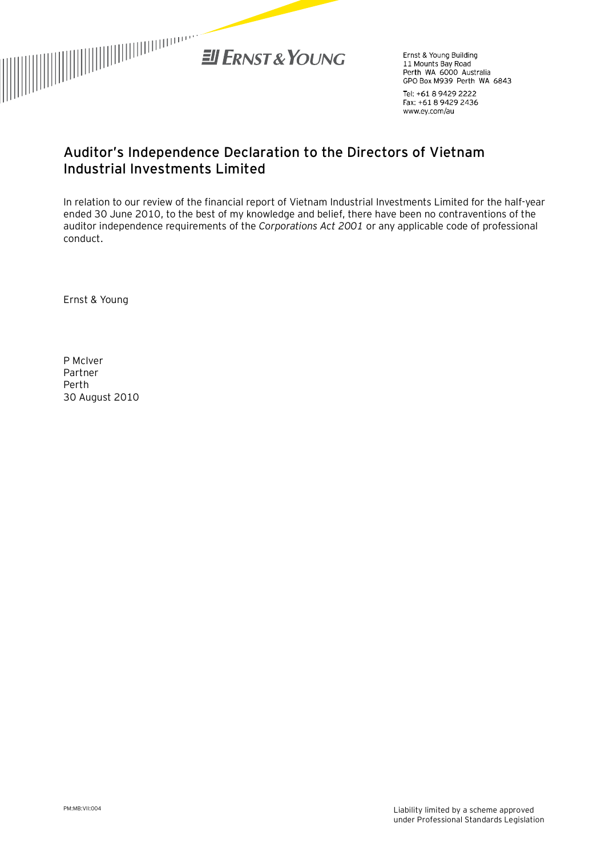

Ernst & Young Building Linst & Tourig Building<br>11 Mounts Bay Road<br>Perth WA 6000 Australia GPO Box M939 Perth WA 6843

Tel: +61 8 9429 2222 Fax: +61 8 9429 2436 www.ey.com/au

## **Auditor's Independence Declaration to the Directors of Vietnam Industrial Investments Limited**

In relation to our review of the financial report of Vietnam Industrial Investments Limited for the half-year ended 30 June 2010, to the best of my knowledge and belief, there have been no contraventions of the auditor independence requirements of the *Corporations Act 2001* or any applicable code of professional conduct.

Ernst & Young

P McIver Partner Perth 30 August 2010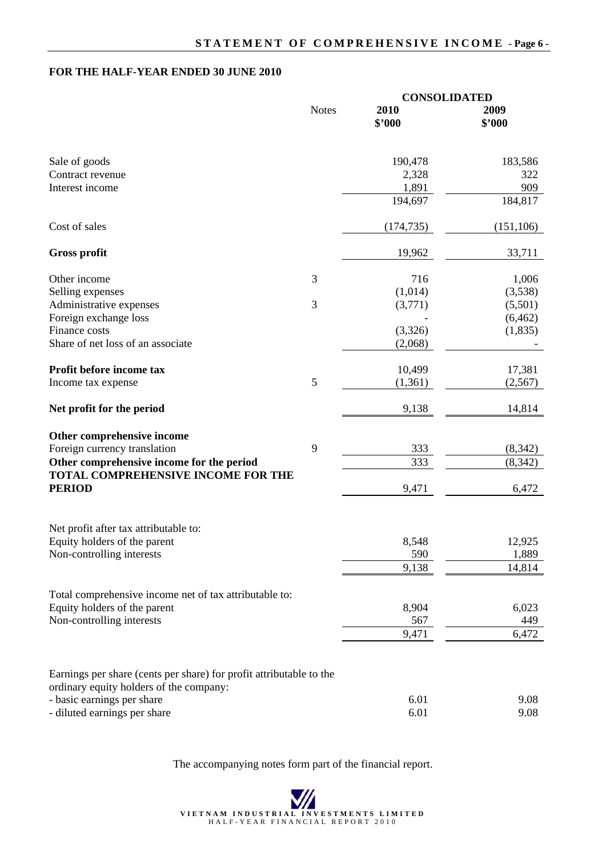#### **FOR THE HALF-YEAR ENDED 30 JUNE 2010**

|                                                                       |                | <b>CONSOLIDATED</b> |              |
|-----------------------------------------------------------------------|----------------|---------------------|--------------|
|                                                                       | <b>Notes</b>   | 2010                | 2009         |
|                                                                       |                | \$'000              | \$'000       |
|                                                                       |                |                     |              |
| Sale of goods                                                         |                | 190,478             | 183,586      |
| Contract revenue                                                      |                | 2,328               | 322          |
| Interest income                                                       |                | 1,891               | 909          |
|                                                                       |                | 194,697             | 184,817      |
| Cost of sales                                                         |                | (174, 735)          | (151, 106)   |
| <b>Gross profit</b>                                                   |                | 19,962              | 33,711       |
| Other income                                                          | 3              | 716                 | 1,006        |
| Selling expenses                                                      |                | (1,014)             | (3,538)      |
| Administrative expenses                                               | 3              | (3,771)             | (5,501)      |
| Foreign exchange loss                                                 |                |                     | (6, 462)     |
| Finance costs                                                         |                | (3,326)             | (1,835)      |
| Share of net loss of an associate                                     |                | (2,068)             |              |
| Profit before income tax                                              |                | 10,499              | 17,381       |
| Income tax expense                                                    | $\mathfrak{S}$ | (1,361)             | (2,567)      |
| Net profit for the period                                             |                | 9,138               | 14,814       |
| Other comprehensive income                                            |                |                     |              |
| Foreign currency translation                                          | 9              | 333                 | (8, 342)     |
| Other comprehensive income for the period                             |                | 333                 | (8, 342)     |
| TOTAL COMPREHENSIVE INCOME FOR THE                                    |                |                     |              |
| <b>PERIOD</b>                                                         |                | 9,471               | 6,472        |
|                                                                       |                |                     |              |
| Net profit after tax attributable to:<br>Equity holders of the parent |                | 8,548               | 12,925       |
| Non-controlling interests                                             |                | 590                 | 1,889        |
|                                                                       |                | 9,138               | 14,814       |
|                                                                       |                |                     |              |
| Total comprehensive income net of tax attributable to:                |                |                     |              |
| Equity holders of the parent                                          |                | 8,904               | 6,023        |
| Non-controlling interests                                             |                | 567<br>9,471        | 449<br>6,472 |
|                                                                       |                |                     |              |
| Earnings per share (cents per share) for profit attributable to the   |                |                     |              |
| ordinary equity holders of the company:                               |                |                     |              |
| - basic earnings per share                                            |                | 6.01                | 9.08         |
| - diluted earnings per share                                          |                | 6.01                | 9.08         |

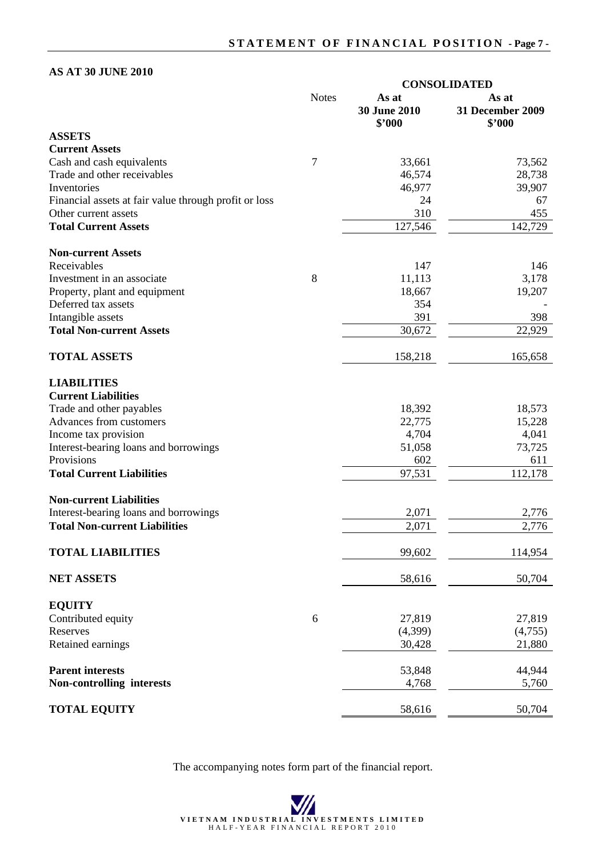### **AS AT 30 JUNE 2010**

|                                                                               | <b>CONSOLIDATED</b> |                                 |                                            |  |
|-------------------------------------------------------------------------------|---------------------|---------------------------------|--------------------------------------------|--|
|                                                                               | <b>Notes</b>        | As at<br>30 June 2010<br>\$'000 | As at<br><b>31 December 2009</b><br>\$'000 |  |
| <b>ASSETS</b>                                                                 |                     |                                 |                                            |  |
| <b>Current Assets</b>                                                         |                     |                                 |                                            |  |
| Cash and cash equivalents                                                     | 7                   | 33,661                          | 73,562                                     |  |
| Trade and other receivables                                                   |                     | 46,574                          | 28,738                                     |  |
| Inventories                                                                   |                     | 46,977                          | 39,907                                     |  |
| Financial assets at fair value through profit or loss<br>Other current assets |                     | 24<br>310                       | 67<br>455                                  |  |
| <b>Total Current Assets</b>                                                   |                     | 127,546                         | 142,729                                    |  |
|                                                                               |                     |                                 |                                            |  |
| <b>Non-current Assets</b>                                                     |                     |                                 |                                            |  |
| Receivables                                                                   |                     | 147                             | 146                                        |  |
| Investment in an associate                                                    | 8                   | 11,113                          | 3,178                                      |  |
| Property, plant and equipment                                                 |                     | 18,667                          | 19,207                                     |  |
| Deferred tax assets                                                           |                     | 354                             |                                            |  |
| Intangible assets                                                             |                     | 391                             | 398                                        |  |
| <b>Total Non-current Assets</b>                                               |                     | 30,672                          | 22,929                                     |  |
| <b>TOTAL ASSETS</b>                                                           |                     | 158,218                         | 165,658                                    |  |
| <b>LIABILITIES</b><br><b>Current Liabilities</b>                              |                     |                                 |                                            |  |
| Trade and other payables                                                      |                     | 18,392                          | 18,573                                     |  |
| Advances from customers                                                       |                     | 22,775                          | 15,228                                     |  |
| Income tax provision                                                          |                     | 4,704                           | 4,041                                      |  |
| Interest-bearing loans and borrowings                                         |                     | 51,058                          | 73,725                                     |  |
| Provisions                                                                    |                     | 602                             | 611                                        |  |
| <b>Total Current Liabilities</b>                                              |                     | 97,531                          | 112,178                                    |  |
| <b>Non-current Liabilities</b>                                                |                     |                                 |                                            |  |
| Interest-bearing loans and borrowings                                         |                     | 2,071                           | 2,776                                      |  |
| <b>Total Non-current Liabilities</b>                                          |                     | 2,071                           | 2,776                                      |  |
| <b>TOTAL LIABILITIES</b>                                                      |                     | 99,602                          | 114,954                                    |  |
| <b>NET ASSETS</b>                                                             |                     | 58,616                          | 50,704                                     |  |
| <b>EQUITY</b>                                                                 |                     |                                 |                                            |  |
| Contributed equity                                                            | 6                   | 27,819                          | 27,819                                     |  |
| Reserves                                                                      |                     | (4,399)                         | (4,755)                                    |  |
| Retained earnings                                                             |                     | 30,428                          | 21,880                                     |  |
| <b>Parent interests</b>                                                       |                     | 53,848                          | 44,944                                     |  |
| Non-controlling interests                                                     |                     | 4,768                           | 5,760                                      |  |
| <b>TOTAL EQUITY</b>                                                           |                     | 58,616                          | 50,704                                     |  |

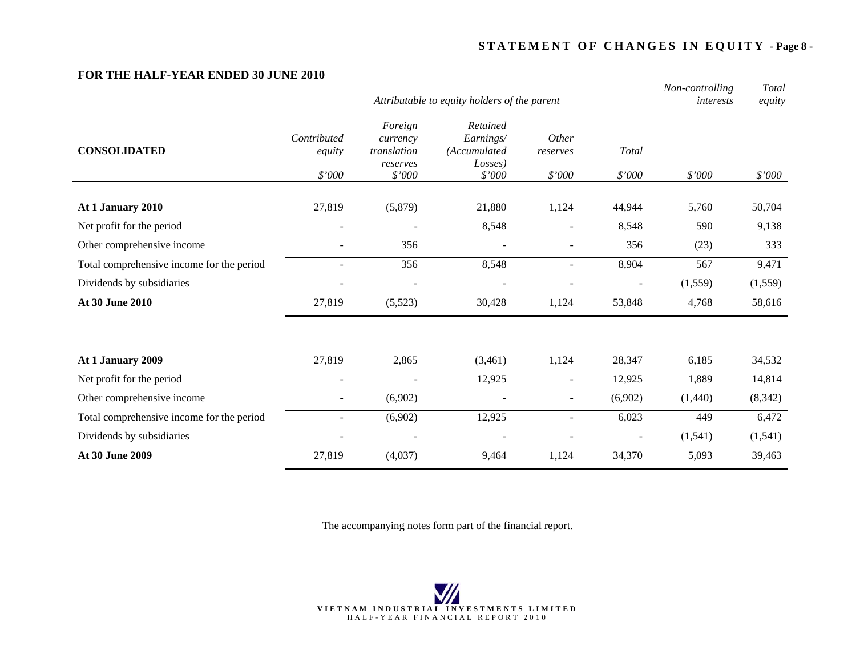### **STATEMENT OF CHANGES IN EQUITY - Page 8 -**

#### **FOR THE HALF-YEAR ENDED 30 JUNE 2010**

|                                           |                          |                                                | Attributable to equity holders of the parent     |                          |                          | Non-controlling | Total    |
|-------------------------------------------|--------------------------|------------------------------------------------|--------------------------------------------------|--------------------------|--------------------------|-----------------|----------|
|                                           |                          | interests                                      | equity                                           |                          |                          |                 |          |
| <b>CONSOLIDATED</b>                       | Contributed<br>equity    | Foreign<br>currency<br>translation<br>reserves | Retained<br>Earnings/<br>(Accumulated<br>Losses) | Other<br>reserves        | Total                    |                 |          |
|                                           | \$'000                   | \$'000                                         | \$'000                                           | \$'000                   | \$'000                   | \$'000          | \$'000   |
| At 1 January 2010                         | 27,819                   | (5,879)                                        | 21,880                                           | 1,124                    | 44,944                   | 5,760           | 50,704   |
| Net profit for the period                 |                          |                                                | 8,548                                            |                          | 8,548                    | 590             | 9,138    |
| Other comprehensive income                |                          | 356                                            |                                                  |                          | 356                      | (23)            | 333      |
| Total comprehensive income for the period |                          | 356                                            | 8,548                                            | $\overline{a}$           | 8,904                    | 567             | 9,471    |
| Dividends by subsidiaries                 | $\overline{\phantom{a}}$ | $\overline{a}$                                 | $\sim$                                           | $\blacksquare$           | $\sim$                   | (1, 559)        | (1,559)  |
| At 30 June 2010                           | 27,819                   | (5,523)                                        | 30,428                                           | 1,124                    | 53,848                   | 4,768           | 58,616   |
|                                           |                          |                                                |                                                  |                          |                          |                 |          |
| At 1 January 2009                         | 27,819                   | 2,865                                          | (3,461)                                          | 1,124                    | 28,347                   | 6,185           | 34,532   |
| Net profit for the period                 | $\overline{\phantom{a}}$ |                                                | 12,925                                           | $\overline{\phantom{a}}$ | 12,925                   | 1,889           | 14,814   |
| Other comprehensive income                |                          | (6,902)                                        |                                                  | ÷.                       | (6,902)                  | (1,440)         | (8, 342) |
| Total comprehensive income for the period | $\blacksquare$           | (6,902)                                        | 12,925                                           | $\blacksquare$           | 6,023                    | 449             | 6,472    |
| Dividends by subsidiaries                 | ۰                        | $\overline{\phantom{a}}$                       | $\overline{\phantom{a}}$                         | $\overline{\phantom{a}}$ | $\overline{\phantom{a}}$ | (1,541)         | (1, 541) |
| At 30 June 2009                           | 27,819                   | (4,037)                                        | 9,464                                            | 1,124                    | 34,370                   | 5,093           | 39,463   |

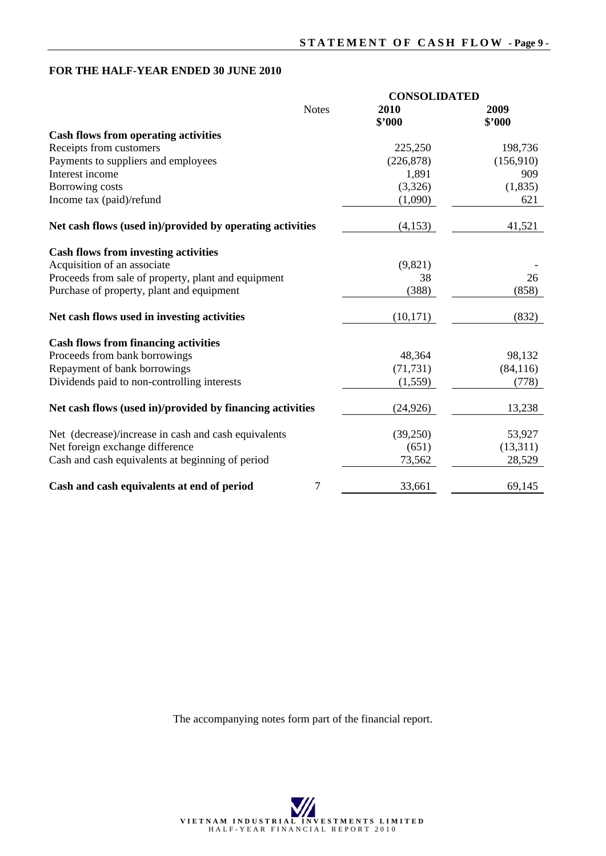## **FOR THE HALF-YEAR ENDED 30 JUNE 2010**

|                                                           | <b>CONSOLIDATED</b> |                |
|-----------------------------------------------------------|---------------------|----------------|
| <b>Notes</b>                                              | 2010<br>\$'000      | 2009<br>\$'000 |
| <b>Cash flows from operating activities</b>               |                     |                |
| Receipts from customers                                   | 225,250             | 198,736        |
| Payments to suppliers and employees                       | (226, 878)          | (156,910)      |
| Interest income                                           | 1,891               | 909            |
| Borrowing costs                                           | (3,326)             | (1,835)        |
| Income tax (paid)/refund                                  | (1,090)             | 621            |
| Net cash flows (used in)/provided by operating activities | (4,153)             | 41,521         |
| <b>Cash flows from investing activities</b>               |                     |                |
| Acquisition of an associate                               | (9,821)             |                |
| Proceeds from sale of property, plant and equipment       | 38                  | 26             |
| Purchase of property, plant and equipment                 | (388)               | (858)          |
| Net cash flows used in investing activities               | (10, 171)           | (832)          |
| <b>Cash flows from financing activities</b>               |                     |                |
| Proceeds from bank borrowings                             | 48,364              | 98,132         |
| Repayment of bank borrowings                              | (71, 731)           | (84, 116)      |
| Dividends paid to non-controlling interests               | (1, 559)            | (778)          |
| Net cash flows (used in)/provided by financing activities | (24, 926)           | 13,238         |
| Net (decrease)/increase in cash and cash equivalents      | (39,250)            | 53,927         |
| Net foreign exchange difference                           | (651)               | (13,311)       |
| Cash and cash equivalents at beginning of period          | 73,562              | 28,529         |
| 7<br>Cash and cash equivalents at end of period           | 33,661              | 69,145         |

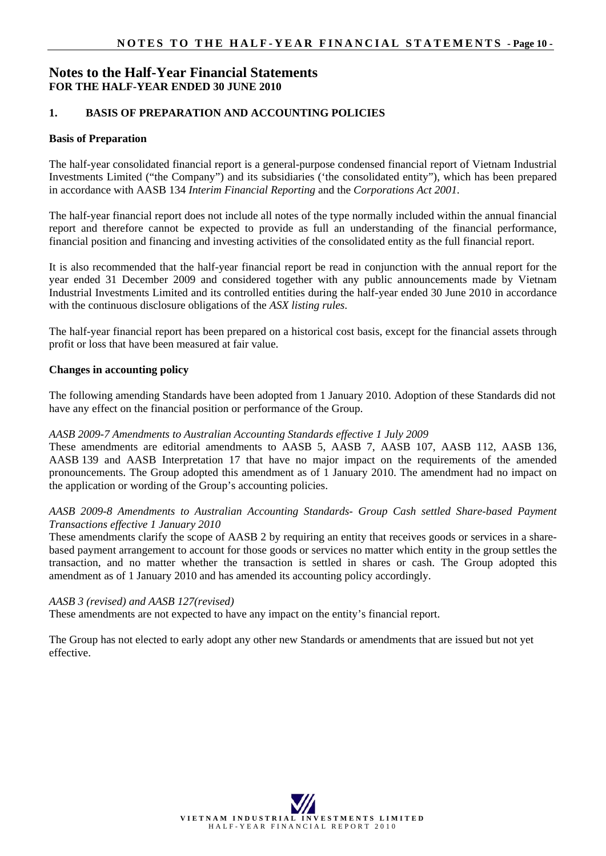## **Notes to the Half-Year Financial Statements FOR THE HALF-YEAR ENDED 30 JUNE 2010**

#### **1. BASIS OF PREPARATION AND ACCOUNTING POLICIES**

#### **Basis of Preparation**

The half-year consolidated financial report is a general-purpose condensed financial report of Vietnam Industrial Investments Limited ("the Company") and its subsidiaries ('the consolidated entity"), which has been prepared in accordance with AASB 134 *Interim Financial Reporting* and the *Corporations Act 2001*.

The half-year financial report does not include all notes of the type normally included within the annual financial report and therefore cannot be expected to provide as full an understanding of the financial performance, financial position and financing and investing activities of the consolidated entity as the full financial report.

It is also recommended that the half-year financial report be read in conjunction with the annual report for the year ended 31 December 2009 and considered together with any public announcements made by Vietnam Industrial Investments Limited and its controlled entities during the half-year ended 30 June 2010 in accordance with the continuous disclosure obligations of the *ASX listing rules*.

The half-year financial report has been prepared on a historical cost basis, except for the financial assets through profit or loss that have been measured at fair value.

#### **Changes in accounting policy**

The following amending Standards have been adopted from 1 January 2010. Adoption of these Standards did not have any effect on the financial position or performance of the Group.

#### *AASB 2009-7 Amendments to Australian Accounting Standards effective 1 July 2009*

These amendments are editorial amendments to AASB 5, AASB 7, AASB 107, AASB 112, AASB 136, AASB 139 and AASB Interpretation 17 that have no major impact on the requirements of the amended pronouncements. The Group adopted this amendment as of 1 January 2010. The amendment had no impact on the application or wording of the Group's accounting policies.

#### *AASB 2009-8 Amendments to Australian Accounting Standards- Group Cash settled Share-based Payment Transactions effective 1 January 2010*

These amendments clarify the scope of AASB 2 by requiring an entity that receives goods or services in a sharebased payment arrangement to account for those goods or services no matter which entity in the group settles the transaction, and no matter whether the transaction is settled in shares or cash. The Group adopted this amendment as of 1 January 2010 and has amended its accounting policy accordingly.

#### *AASB 3 (revised) and AASB 127(revised)*

These amendments are not expected to have any impact on the entity's financial report.

The Group has not elected to early adopt any other new Standards or amendments that are issued but not yet effective.

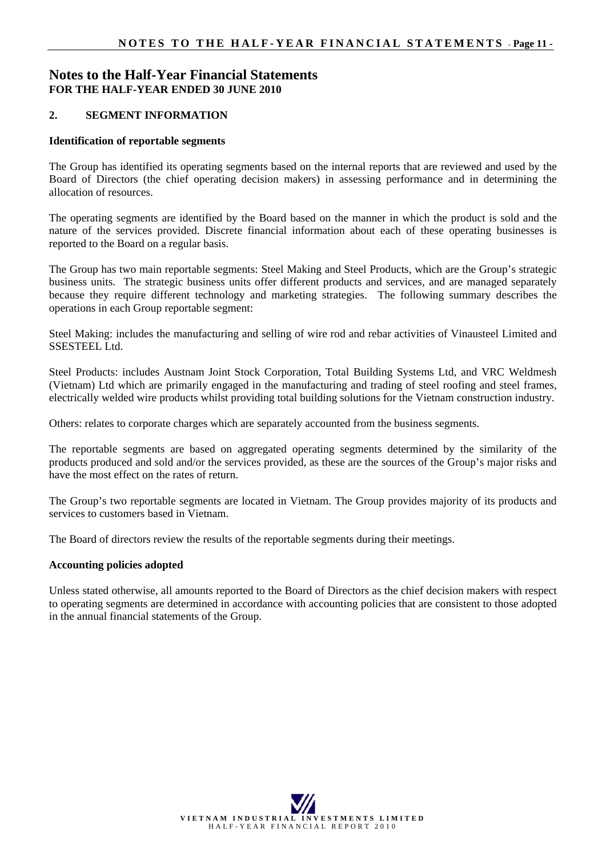## **Notes to the Half-Year Financial Statements FOR THE HALF-YEAR ENDED 30 JUNE 2010**

#### **2. SEGMENT INFORMATION**

#### **Identification of reportable segments**

The Group has identified its operating segments based on the internal reports that are reviewed and used by the Board of Directors (the chief operating decision makers) in assessing performance and in determining the allocation of resources.

The operating segments are identified by the Board based on the manner in which the product is sold and the nature of the services provided. Discrete financial information about each of these operating businesses is reported to the Board on a regular basis.

The Group has two main reportable segments: Steel Making and Steel Products, which are the Group's strategic business units. The strategic business units offer different products and services, and are managed separately because they require different technology and marketing strategies. The following summary describes the operations in each Group reportable segment:

Steel Making: includes the manufacturing and selling of wire rod and rebar activities of Vinausteel Limited and SSESTEEL Ltd.

Steel Products: includes Austnam Joint Stock Corporation, Total Building Systems Ltd, and VRC Weldmesh (Vietnam) Ltd which are primarily engaged in the manufacturing and trading of steel roofing and steel frames, electrically welded wire products whilst providing total building solutions for the Vietnam construction industry.

Others: relates to corporate charges which are separately accounted from the business segments.

The reportable segments are based on aggregated operating segments determined by the similarity of the products produced and sold and/or the services provided, as these are the sources of the Group's major risks and have the most effect on the rates of return.

The Group's two reportable segments are located in Vietnam. The Group provides majority of its products and services to customers based in Vietnam.

The Board of directors review the results of the reportable segments during their meetings.

#### **Accounting policies adopted**

Unless stated otherwise, all amounts reported to the Board of Directors as the chief decision makers with respect to operating segments are determined in accordance with accounting policies that are consistent to those adopted in the annual financial statements of the Group.

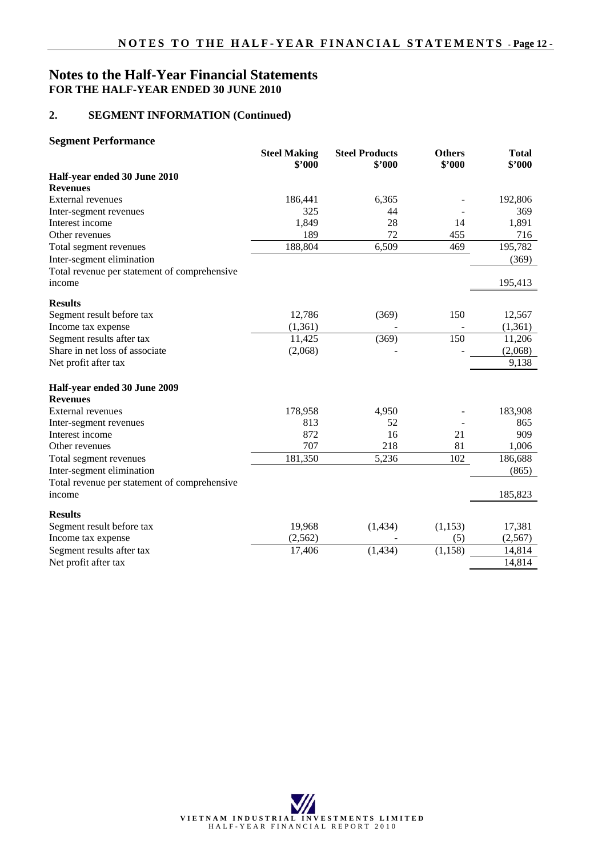## **Notes to the Half-Year Financial Statements FOR THE HALF-YEAR ENDED 30 JUNE 2010**

#### **2. SEGMENT INFORMATION (Continued)**

#### **Segment Performance**

|                                              | <b>Steel Making</b><br>\$'000 | <b>Steel Products</b><br>\$'000 | <b>Others</b><br>\$'000 | <b>Total</b><br>\$'000 |
|----------------------------------------------|-------------------------------|---------------------------------|-------------------------|------------------------|
| Half-year ended 30 June 2010                 |                               |                                 |                         |                        |
| <b>Revenues</b>                              |                               |                                 |                         |                        |
| <b>External revenues</b>                     | 186,441                       | 6,365                           |                         | 192,806                |
| Inter-segment revenues                       | 325                           | 44                              |                         | 369                    |
| Interest income                              | 1,849                         | 28                              | 14                      | 1,891                  |
| Other revenues                               | 189                           | 72                              | 455                     | 716                    |
| Total segment revenues                       | 188,804                       | 6,509                           | 469                     | 195,782                |
| Inter-segment elimination                    |                               |                                 |                         | (369)                  |
| Total revenue per statement of comprehensive |                               |                                 |                         |                        |
| income                                       |                               |                                 |                         | 195,413                |
| <b>Results</b>                               |                               |                                 |                         |                        |
| Segment result before tax                    | 12,786                        | (369)                           | 150                     | 12,567                 |
| Income tax expense                           | (1,361)                       |                                 |                         | (1, 361)               |
| Segment results after tax                    | 11,425                        | (369)                           | 150                     | 11,206                 |
| Share in net loss of associate               | (2,068)                       |                                 |                         | (2,068)                |
| Net profit after tax                         |                               |                                 |                         | 9,138                  |
| Half-year ended 30 June 2009                 |                               |                                 |                         |                        |
| <b>Revenues</b>                              |                               |                                 |                         |                        |
| <b>External revenues</b>                     | 178,958                       | 4,950                           |                         | 183,908                |
| Inter-segment revenues                       | 813                           | 52                              |                         | 865                    |
| Interest income                              | 872                           | 16                              | 21                      | 909                    |
| Other revenues                               | 707                           | 218                             | 81                      | 1,006                  |
| Total segment revenues                       | 181,350                       | 5,236                           | 102                     | 186,688                |
| Inter-segment elimination                    |                               |                                 |                         | (865)                  |
| Total revenue per statement of comprehensive |                               |                                 |                         |                        |
| income                                       |                               |                                 |                         | 185,823                |
| <b>Results</b>                               |                               |                                 |                         |                        |
| Segment result before tax                    | 19,968                        | (1, 434)                        | (1,153)                 | 17,381                 |
| Income tax expense                           | (2,562)                       |                                 | (5)                     | (2,567)                |
| Segment results after tax                    | 17,406                        | (1, 434)                        | (1, 158)                | 14,814                 |
| Net profit after tax                         |                               |                                 |                         | 14,814                 |

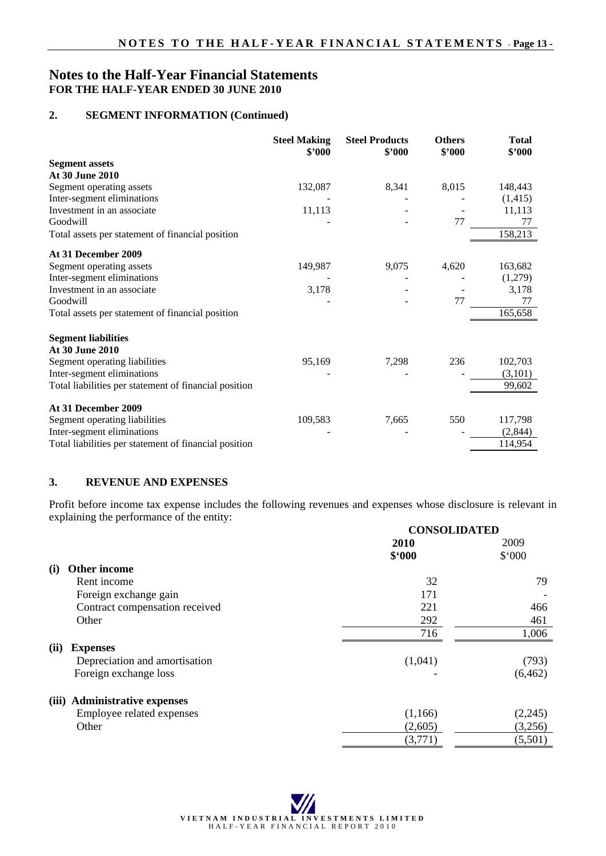## **Notes to the Half-Year Financial Statements FOR THE HALF-YEAR ENDED 30 JUNE 2010**

#### **2. SEGMENT INFORMATION (Continued)**

|                                                       | <b>Steel Making</b><br>\$2000 | <b>Steel Products</b><br>\$2000 | <b>Others</b><br>\$'000 | <b>Total</b><br>\$2000 |
|-------------------------------------------------------|-------------------------------|---------------------------------|-------------------------|------------------------|
| <b>Segment assets</b>                                 |                               |                                 |                         |                        |
| At 30 June 2010                                       |                               |                                 |                         |                        |
| Segment operating assets                              | 132,087                       | 8,341                           | 8,015                   | 148,443                |
| Inter-segment eliminations                            |                               |                                 |                         | (1, 415)               |
| Investment in an associate                            | 11,113                        |                                 |                         | 11,113                 |
| Goodwill                                              |                               |                                 | 77                      | 77                     |
| Total assets per statement of financial position      |                               |                                 |                         | 158,213                |
| At 31 December 2009                                   |                               |                                 |                         |                        |
| Segment operating assets                              | 149,987                       | 9,075                           | 4,620                   | 163,682                |
| Inter-segment eliminations                            |                               |                                 |                         | (1,279)                |
| Investment in an associate                            | 3,178                         |                                 |                         | 3,178                  |
| Goodwill                                              |                               |                                 | 77                      | 77                     |
| Total assets per statement of financial position      |                               |                                 |                         | 165,658                |
| <b>Segment liabilities</b>                            |                               |                                 |                         |                        |
| At 30 June 2010                                       |                               |                                 |                         |                        |
| Segment operating liabilities                         | 95,169                        | 7,298                           | 236                     | 102,703                |
| Inter-segment eliminations                            |                               |                                 |                         | (3,101)                |
| Total liabilities per statement of financial position |                               |                                 |                         | 99,602                 |
| At 31 December 2009                                   |                               |                                 |                         |                        |
| Segment operating liabilities                         | 109,583                       | 7,665                           | 550                     | 117,798                |
| Inter-segment eliminations                            |                               |                                 |                         | (2,844)                |
| Total liabilities per statement of financial position |                               |                                 |                         | 114,954                |

#### **3. REVENUE AND EXPENSES**

Profit before income tax expense includes the following revenues and expenses whose disclosure is relevant in explaining the performance of the entity:

|                                | <b>CONSOLIDATED</b> |          |  |
|--------------------------------|---------------------|----------|--|
|                                | 2010                | 2009     |  |
|                                | \$.000              | \$.000   |  |
| <b>Other income</b><br>(i)     |                     |          |  |
| Rent income                    | 32                  | 79       |  |
| Foreign exchange gain          | 171                 |          |  |
| Contract compensation received | 221                 | 466      |  |
| Other                          | 292                 | 461      |  |
|                                | 716                 | 1,006    |  |
| (ii)<br><b>Expenses</b>        |                     |          |  |
| Depreciation and amortisation  | (1,041)             | (793)    |  |
| Foreign exchange loss          |                     | (6, 462) |  |
| (iii) Administrative expenses  |                     |          |  |
| Employee related expenses      | (1,166)             | (2,245)  |  |
| Other                          | (2,605)             | (3,256)  |  |
|                                | (3,771)             | (5,501)  |  |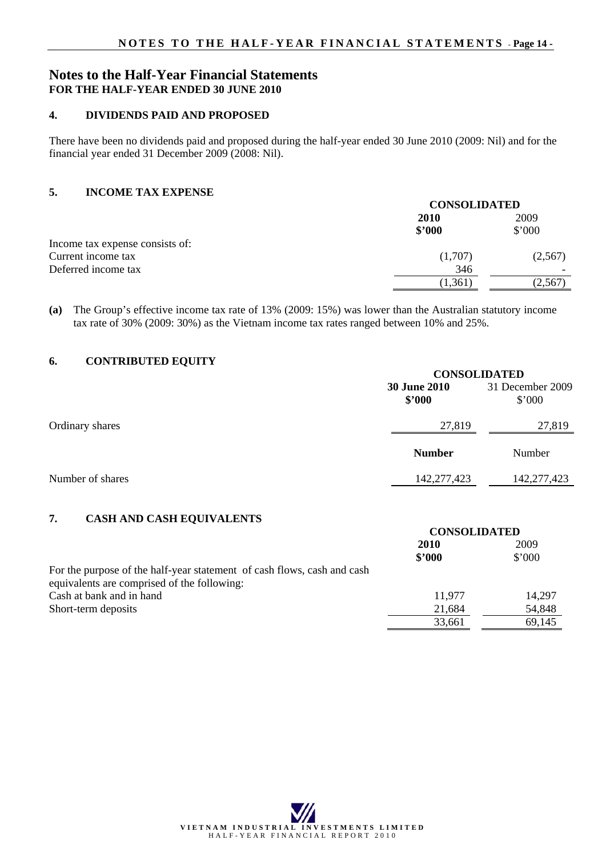## **Notes to the Half-Year Financial Statements FOR THE HALF-YEAR ENDED 30 JUNE 2010**

#### **4. DIVIDENDS PAID AND PROPOSED**

There have been no dividends paid and proposed during the half-year ended 30 June 2010 (2009: Nil) and for the financial year ended 31 December 2009 (2008: Nil).

#### **5. INCOME TAX EXPENSE**

|                                 | <b>CONSOLIDATED</b> |         |  |
|---------------------------------|---------------------|---------|--|
|                                 | <b>2010</b>         | 2009    |  |
|                                 | \$'000              | \$'000  |  |
| Income tax expense consists of: |                     |         |  |
| Current income tax              | (1,707)             | (2,567) |  |
| Deferred income tax             | 346                 |         |  |
|                                 | (1, 361)            | (2,567) |  |
|                                 |                     |         |  |

**(a)** The Group's effective income tax rate of 13% (2009: 15%) was lower than the Australian statutory income tax rate of 30% (2009: 30%) as the Vietnam income tax rates ranged between 10% and 25%.

## **6. CONTRIBUTED EQUITY**

|                  |                               | <b>CONSOLIDATED</b>        |  |  |
|------------------|-------------------------------|----------------------------|--|--|
|                  | <b>30 June 2010</b><br>\$2000 | 31 December 2009<br>\$'000 |  |  |
| Ordinary shares  | 27,819                        | 27,819                     |  |  |
|                  | <b>Number</b>                 | Number                     |  |  |
| Number of shares | 142,277,423                   | 142,277,423                |  |  |

### **7. CASH AND CASH EQUIVALENTS**

|                                                                                                                        | <b>CONSOLIDATED</b> |                |
|------------------------------------------------------------------------------------------------------------------------|---------------------|----------------|
|                                                                                                                        | 2010                | 2009           |
|                                                                                                                        | \$'000              | $$^{\circ}000$ |
| For the purpose of the half-year statement of cash flows, cash and cash<br>equivalents are comprised of the following: |                     |                |
| Cash at bank and in hand                                                                                               | 11,977              | 14,297         |
| Short-term deposits                                                                                                    | 21,684              | 54,848         |
|                                                                                                                        | 33,661              | 69,145         |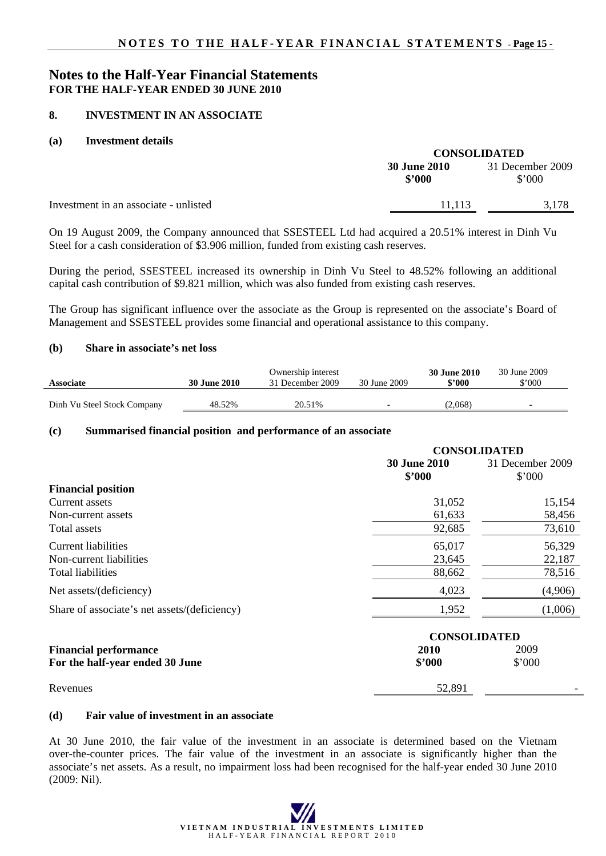## **Notes to the Half-Year Financial Statements FOR THE HALF-YEAR ENDED 30 JUNE 2010**

#### **8. INVESTMENT IN AN ASSOCIATE**

#### **(a) Investment details**

|                                       | <b>CONSOLIDATED</b>           |                            |  |
|---------------------------------------|-------------------------------|----------------------------|--|
|                                       | <b>30 June 2010</b><br>\$2000 | 31 December 2009<br>\$'000 |  |
| Investment in an associate - unlisted | 11.113                        | 3.178                      |  |

On 19 August 2009, the Company announced that SSESTEEL Ltd had acquired a 20.51% interest in Dinh Vu Steel for a cash consideration of \$3.906 million, funded from existing cash reserves.

During the period, SSESTEEL increased its ownership in Dinh Vu Steel to 48.52% following an additional capital cash contribution of \$9.821 million, which was also funded from existing cash reserves.

The Group has significant influence over the associate as the Group is represented on the associate's Board of Management and SSESTEEL provides some financial and operational assistance to this company.

#### **(b) Share in associate's net loss**

| <b>Associate</b>            | <b>30 June 2010</b> | Ownership interest<br>31 December 2009 | 30 June 2009 | <b>30 June 2010</b><br>\$2000 | 30 June 2009<br>\$'000 |
|-----------------------------|---------------------|----------------------------------------|--------------|-------------------------------|------------------------|
| Dinh Vu Steel Stock Company | 48.52%              | 20.51%                                 |              | (2.068)                       |                        |

#### **(c) Summarised financial position and performance of an associate**

|                                              | <b>CONSOLIDATED</b>           |                                    |  |
|----------------------------------------------|-------------------------------|------------------------------------|--|
|                                              | <b>30 June 2010</b><br>\$2000 | 31 December 2009<br>$$^{\circ}000$ |  |
| <b>Financial position</b>                    |                               |                                    |  |
| Current assets                               | 31,052                        | 15,154                             |  |
| Non-current assets                           | 61,633                        | 58,456                             |  |
| Total assets                                 | 92,685                        | 73,610                             |  |
| Current liabilities                          | 65,017                        | 56,329                             |  |
| Non-current liabilities                      | 23,645                        | 22,187                             |  |
| <b>Total liabilities</b>                     | 88,662                        | 78,516                             |  |
| Net assets/(deficiency)                      | 4,023                         | (4,906)                            |  |
| Share of associate's net assets/(deficiency) | 1,952                         | (1,006)                            |  |
|                                              |                               |                                    |  |

|                                 | <b>CONSOLIDATED</b> |        |   |
|---------------------------------|---------------------|--------|---|
| <b>Financial performance</b>    | 2010                | 2009   |   |
| For the half-year ended 30 June | \$2000              | \$'000 |   |
| Revenues                        | 52,891              |        | - |

#### **(d) Fair value of investment in an associate**

At 30 June 2010, the fair value of the investment in an associate is determined based on the Vietnam over-the-counter prices. The fair value of the investment in an associate is significantly higher than the associate's net assets. As a result, no impairment loss had been recognised for the half-year ended 30 June 2010 (2009: Nil).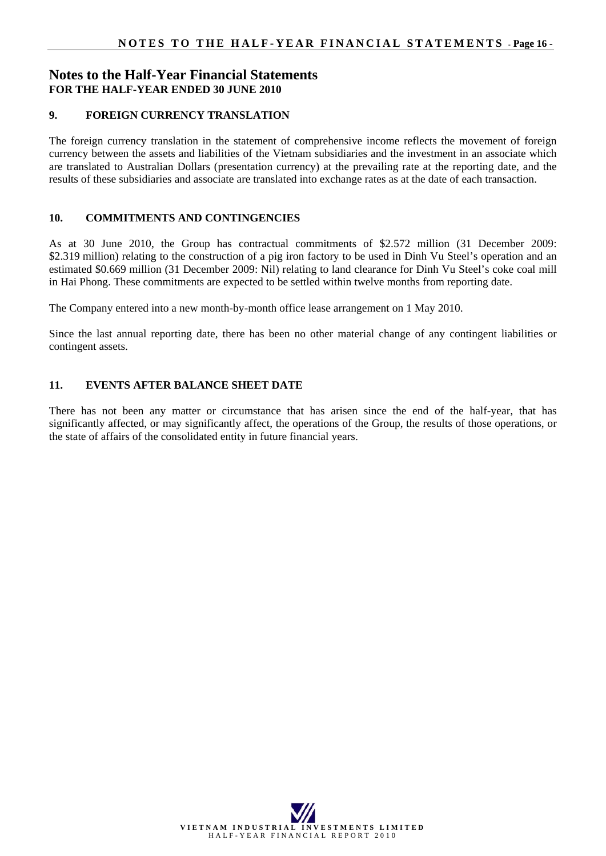## **Notes to the Half-Year Financial Statements FOR THE HALF-YEAR ENDED 30 JUNE 2010**

#### **9. FOREIGN CURRENCY TRANSLATION**

The foreign currency translation in the statement of comprehensive income reflects the movement of foreign currency between the assets and liabilities of the Vietnam subsidiaries and the investment in an associate which are translated to Australian Dollars (presentation currency) at the prevailing rate at the reporting date, and the results of these subsidiaries and associate are translated into exchange rates as at the date of each transaction.

### **10. COMMITMENTS AND CONTINGENCIES**

As at 30 June 2010, the Group has contractual commitments of \$2.572 million (31 December 2009: \$2.319 million) relating to the construction of a pig iron factory to be used in Dinh Vu Steel's operation and an estimated \$0.669 million (31 December 2009: Nil) relating to land clearance for Dinh Vu Steel's coke coal mill in Hai Phong. These commitments are expected to be settled within twelve months from reporting date.

The Company entered into a new month-by-month office lease arrangement on 1 May 2010.

Since the last annual reporting date, there has been no other material change of any contingent liabilities or contingent assets.

#### **11. EVENTS AFTER BALANCE SHEET DATE**

There has not been any matter or circumstance that has arisen since the end of the half-year, that has significantly affected, or may significantly affect, the operations of the Group, the results of those operations, or the state of affairs of the consolidated entity in future financial years.

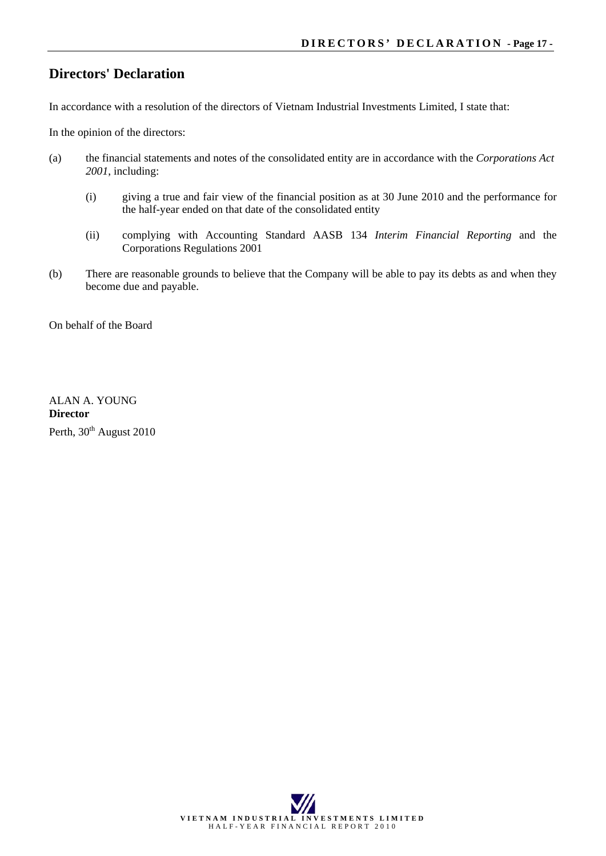## **Directors' Declaration**

In accordance with a resolution of the directors of Vietnam Industrial Investments Limited, I state that:

In the opinion of the directors:

- (a) the financial statements and notes of the consolidated entity are in accordance with the *Corporations Act 2001*, including:
	- (i) giving a true and fair view of the financial position as at 30 June 2010 and the performance for the half-year ended on that date of the consolidated entity
	- (ii) complying with Accounting Standard AASB 134 *Interim Financial Reporting* and the Corporations Regulations 2001
- (b) There are reasonable grounds to believe that the Company will be able to pay its debts as and when they become due and payable.

On behalf of the Board

ALAN A. YOUNG **Director**  Perth, 30<sup>th</sup> August 2010

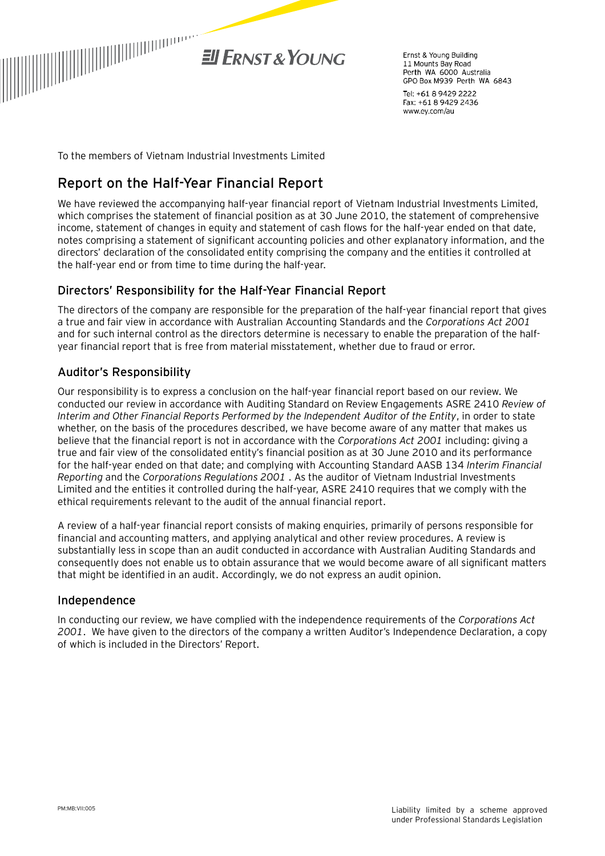

Frnst & Young Building 11 Mounts Bay Road Perth WA 6000 Australia GPO Box M939 Perth WA 6843

Tel: +61 8 9429 2222 Fax: +61 8 9429 2436 www.ey.com/au

To the members of Vietnam Industrial Investments Limited

## **Report on the Half-Year Financial Report**

We have reviewed the accompanying half-year financial report of Vietnam Industrial Investments Limited, which comprises the statement of financial position as at 30 June 2010, the statement of comprehensive income, statement of changes in equity and statement of cash flows for the half-year ended on that date, notes comprising a statement of significant accounting policies and other explanatory information, and the directors' declaration of the consolidated entity comprising the company and the entities it controlled at the half-year end or from time to time during the half-year.

## Directors' Responsibility for the Half-Year Financial Report

The directors of the company are responsible for the preparation of the half-year financial report that gives a true and fair view in accordance with Australian Accounting Standards and the *Corporations Act 2001*  and for such internal control as the directors determine is necessary to enable the preparation of the halfyear financial report that is free from material misstatement, whether due to fraud or error.

## Auditor's Responsibility

Our responsibility is to express a conclusion on the half-year financial report based on our review. We conducted our review in accordance with Auditing Standard on Review Engagements ASRE 2410 *Review of Interim and Other Financial Reports Performed by the Independent Auditor of the Entity*, in order to state whether, on the basis of the procedures described, we have become aware of any matter that makes us believe that the financial report is not in accordance with the *Corporations Act 2001* including: giving a true and fair view of the consolidated entity's financial position as at 30 June 2010 and its performance for the half-year ended on that date; and complying with Accounting Standard AASB 134 *Interim Financial Reporting* and the *Corporations Regulations 2001* . As the auditor of Vietnam Industrial Investments Limited and the entities it controlled during the half-year, ASRE 2410 requires that we comply with the ethical requirements relevant to the audit of the annual financial report.

A review of a half-year financial report consists of making enquiries, primarily of persons responsible for financial and accounting matters, and applying analytical and other review procedures. A review is substantially less in scope than an audit conducted in accordance with Australian Auditing Standards and consequently does not enable us to obtain assurance that we would become aware of all significant matters that might be identified in an audit. Accordingly, we do not express an audit opinion.

### Independence

In conducting our review, we have complied with the independence requirements of the *Corporations Act 2001*. We have given to the directors of the company a written Auditor's Independence Declaration, a copy of which is included in the Directors' Report.